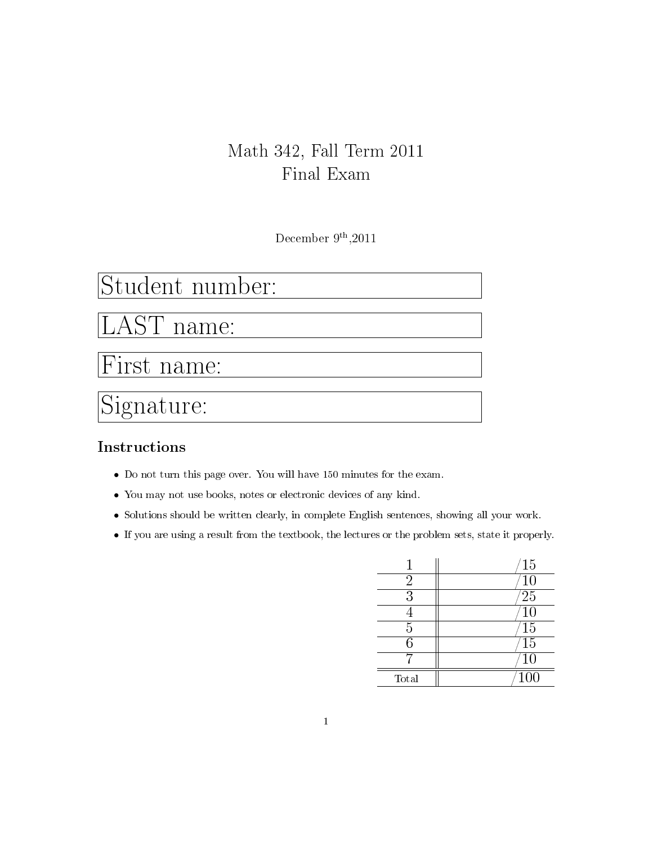### Math 342, Fall Term 2011 Final Exam

December  $9<sup>th</sup>, 2011$ 

# Student number:

AST name:

First name:

# Signature:

#### Instructions

- Do not turn this page over. You will have 150 minutes for the exam.
- You may not use books, notes or electronic devices of any kind.
- Solutions should be written clearly, in complete English sentences, showing all your work.
- If you are using a result from the textbook, the lectures or the problem sets, state it properly.

|           | 15              |
|-----------|-----------------|
| $\dot{2}$ | $\overline{10}$ |
| 3         | $^{\prime}25$   |
|           | $\overline{10}$ |
| 5         | $\overline{15}$ |
| հ         | 15              |
|           | 10              |
| Total     | <b>100</b>      |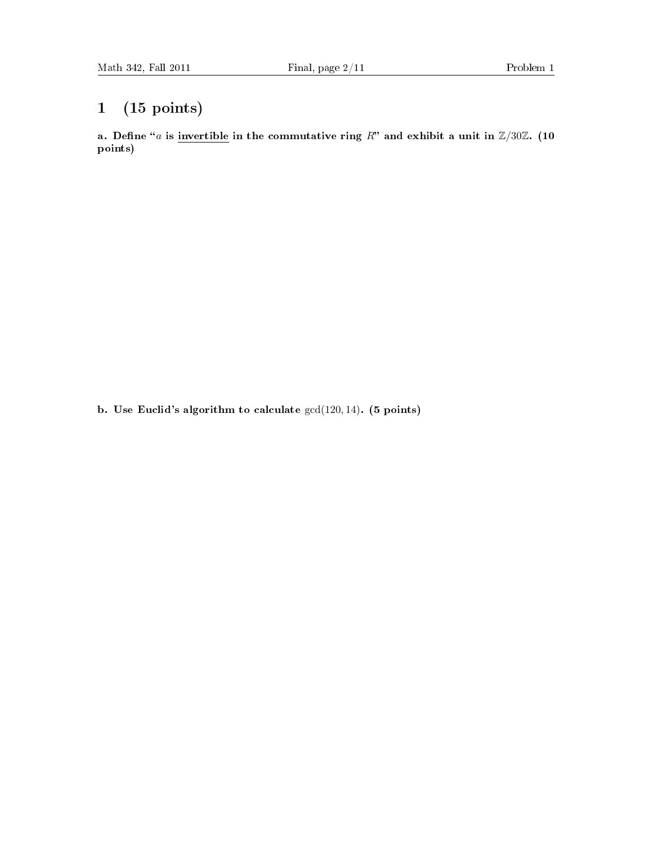### 1 (15 points)

a. Define "a is invertible in the commutative ring R" and exhibit a unit in  $\mathbb{Z}/30\mathbb{Z}$ . (10 points)

b. Use Euclid's algorithm to calculate gcd(120, 14). (5 points)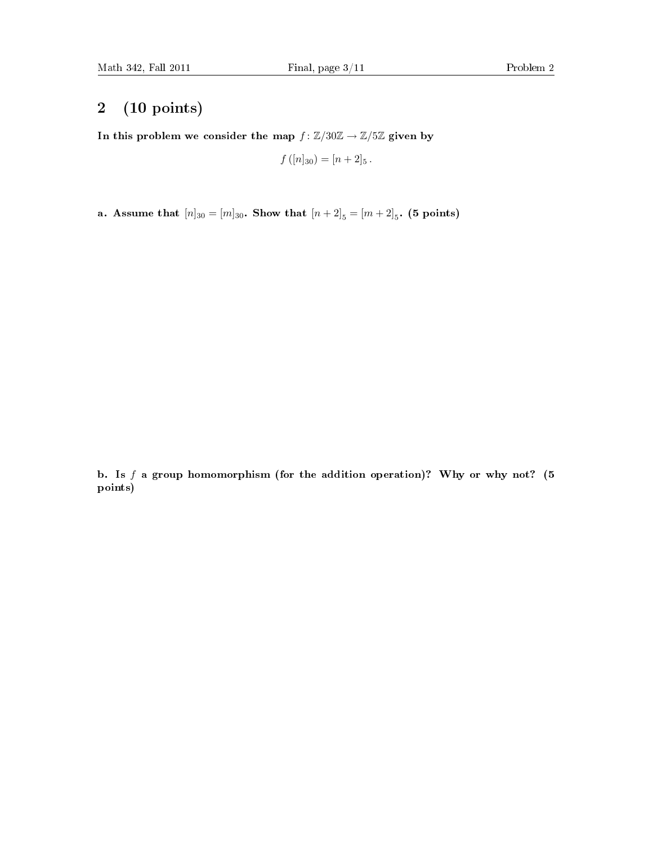#### 2 (10 points)

In this problem we consider the map  $f : \mathbb{Z}/30\mathbb{Z} \to \mathbb{Z}/5\mathbb{Z}$  given by

$$
f([n]_{30}) = [n+2]_5.
$$

a. Assume that  $[n]_{30} = [m]_{30}$ . Show that  $[n+2]_5 = [m+2]_5$ . (5 points)

b. Is  $f$  a group homomorphism (for the addition operation)? Why or why not? (5) points)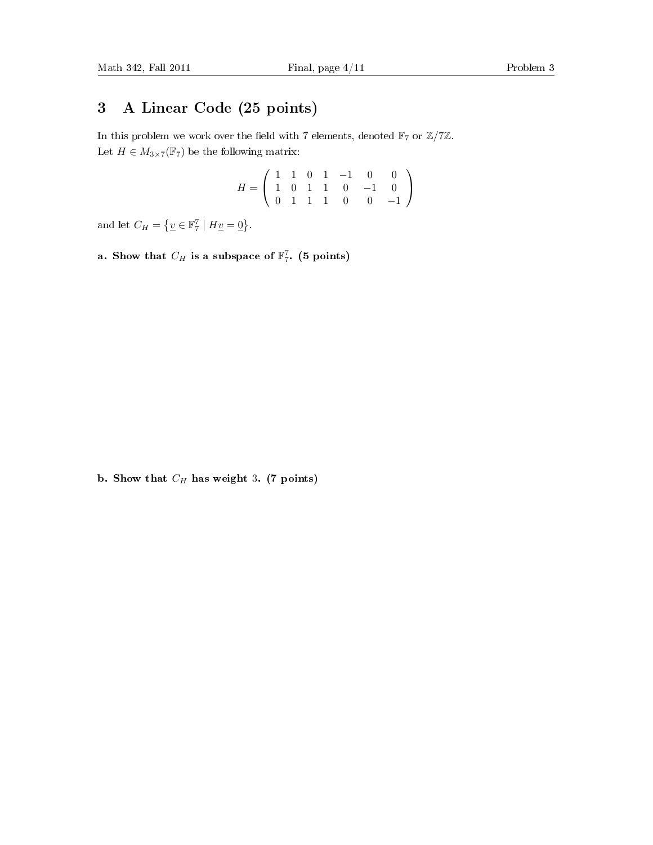#### 3 A Linear Code (25 points)

In this problem we work over the field with 7 elements, denoted  $\mathbb{F}_7$  or  $\mathbb{Z}/7\mathbb{Z}$ . Let  $H \in M_{3 \times 7}(\mathbb{F}_7)$  be the following matrix:

$$
H = \left(\begin{array}{cccccc} 1 & 1 & 0 & 1 & -1 & 0 & 0 \\ 1 & 0 & 1 & 1 & 0 & -1 & 0 \\ 0 & 1 & 1 & 1 & 0 & 0 & -1 \end{array}\right)
$$

and let  $C_H = \{ \underline{v} \in \mathbb{F}_7^7 \mid H\underline{v} = \underline{0} \}.$ 

a. Show that  $C_H$  is a subspace of  $\mathbb{F}_7^7$ . (5 points)

b. Show that  $C_H$  has weight 3. (7 points)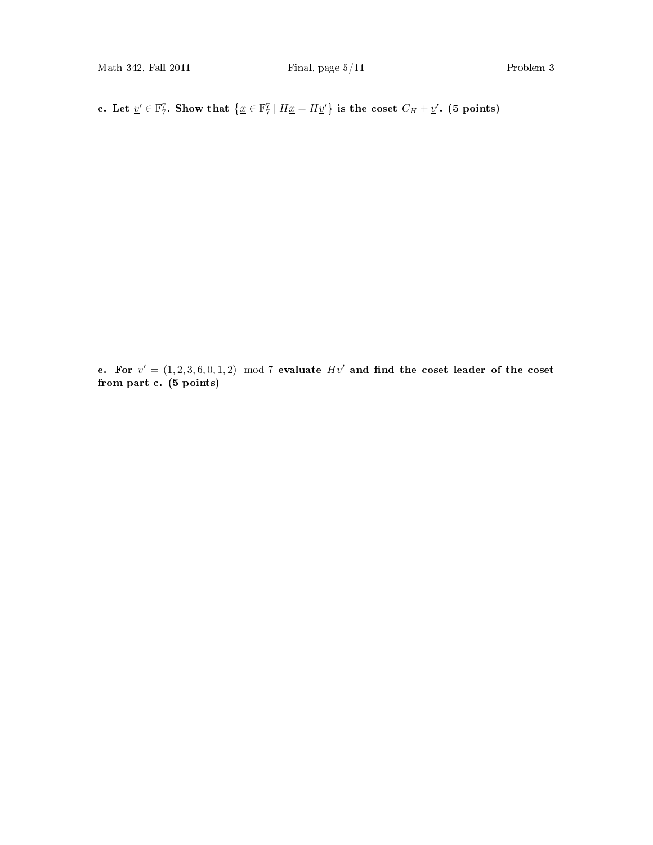c. Let  $\underline{v}' \in \mathbb{F}_7^7$ . Show that  $\{\underline{x} \in \mathbb{F}_7^7 \mid H\underline{x} = H\underline{v}'\}$  is the coset  $C_H + \underline{v}'$ . (5 points)

e. For  $v' = (1, 2, 3, 6, 0, 1, 2) \mod 7$  evaluate  $H\underline{v}'$  and find the coset leader of the coset from part c. (5 points)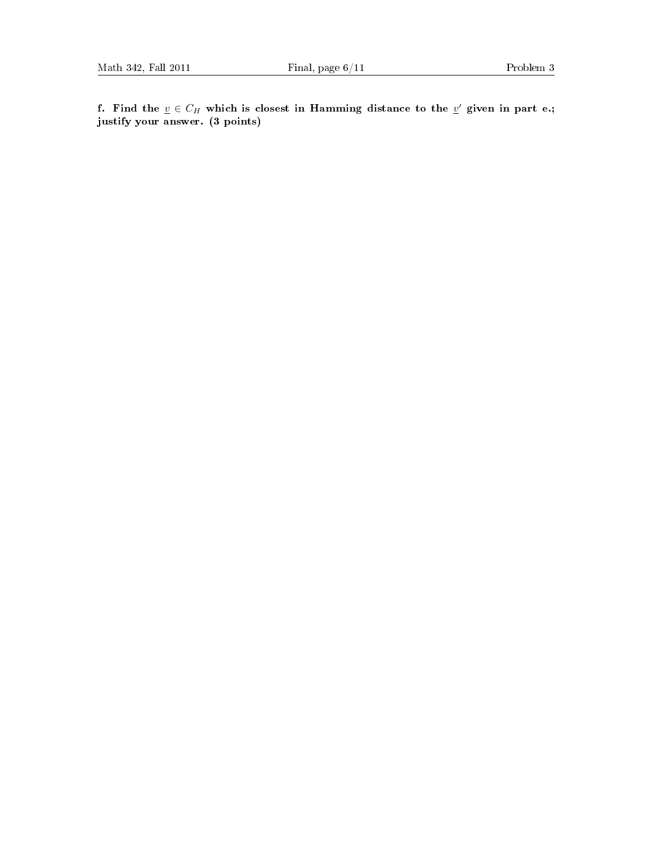f. Find the  $\underline{v} \in C_H$  which is closest in Hamming distance to the  $\underline{v}'$  given in part e.; justify your answer. (3 points)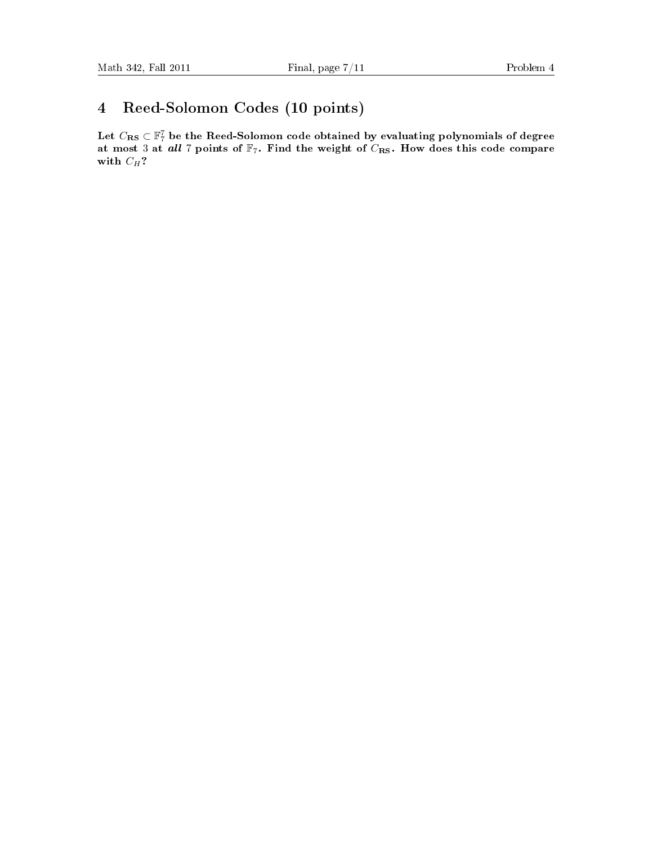## 4 Reed-Solomon Codes (10 points)

Let  $C_{\mathbf{R}\mathbf{S}}\subset \mathbb{F}_7^7$  be the Reed-Solomon code obtained by evaluating polynomials of degree at most 3 at all 7 points of  $\mathbb{F}_7$ . Find the weight of  $C_{\text{RS}}$ . How does this code compare with  $C_H$ ?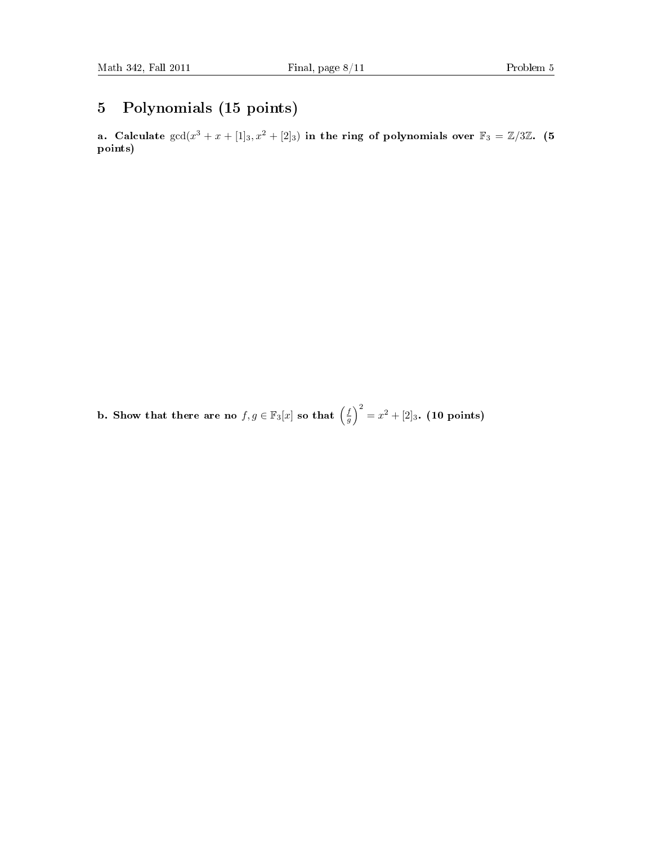#### 5 Polynomials (15 points)

a. Calculate  $gcd(x^3 + x + [1]_3, x^2 + [2]_3)$  in the ring of polynomials over  $\mathbb{F}_3 = \mathbb{Z}/3\mathbb{Z}$ . (5) points)

b. Show that there are no  $f, g \in \mathbb{F}_3[x]$  so that  $\left(\frac{f}{g}\right)^2 = x^2 + [2]_3$ . (10 points)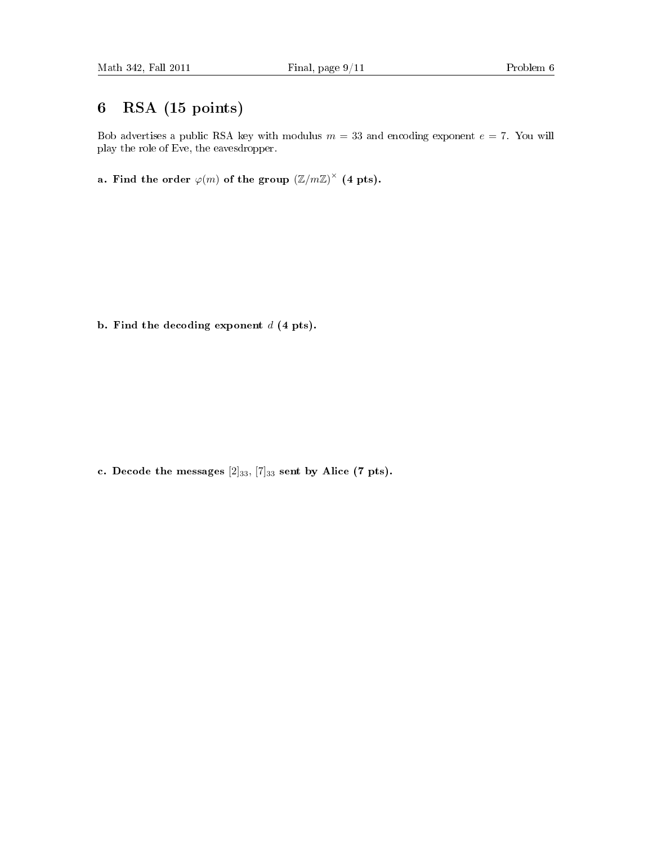#### 6 RSA (15 points)

Bob advertises a public RSA key with modulus  $m = 33$  and encoding exponent  $e = 7$ . You will play the role of Eve, the eavesdropper.

a. Find the order  $\varphi(m)$  of the group  $\left(\mathbb{Z}/m\mathbb{Z}\right)^{\times}$  (4 pts).

b. Find the decoding exponent  $d$  (4 pts).

c. Decode the messages  $[2]_{33}$ ,  $[7]_{33}$  sent by Alice (7 pts).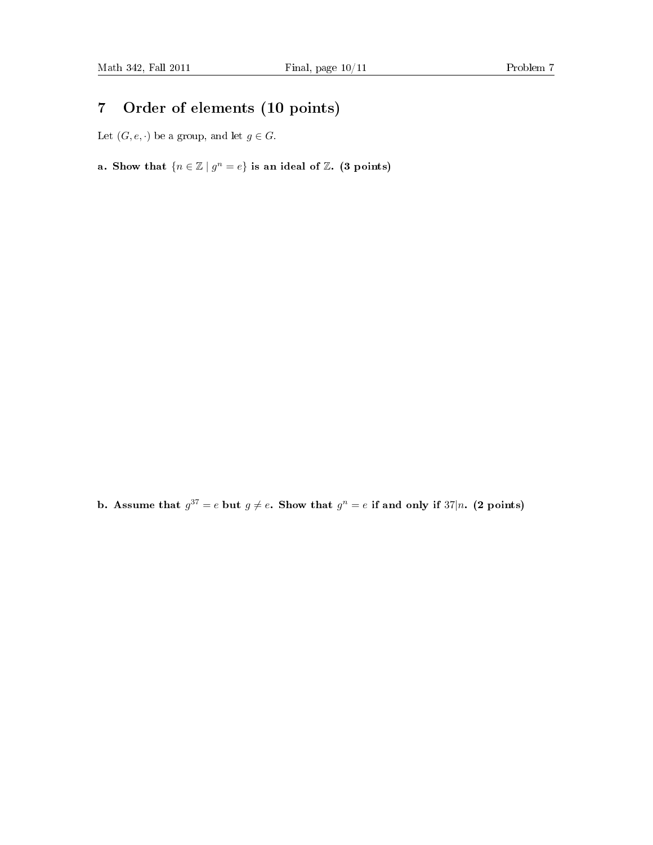#### 7 Order of elements (10 points)

Let  $(G, e, \cdot)$  be a group, and let  $g \in G$ .

a. Show that  $\{n \in \mathbb{Z} \mid g^n = e\}$  is an ideal of  $\mathbb{Z}$ . (3 points)

b. Assume that  $g^{37} = e$  but  $g \neq e$ . Show that  $g^n = e$  if and only if 37|n. (2 points)